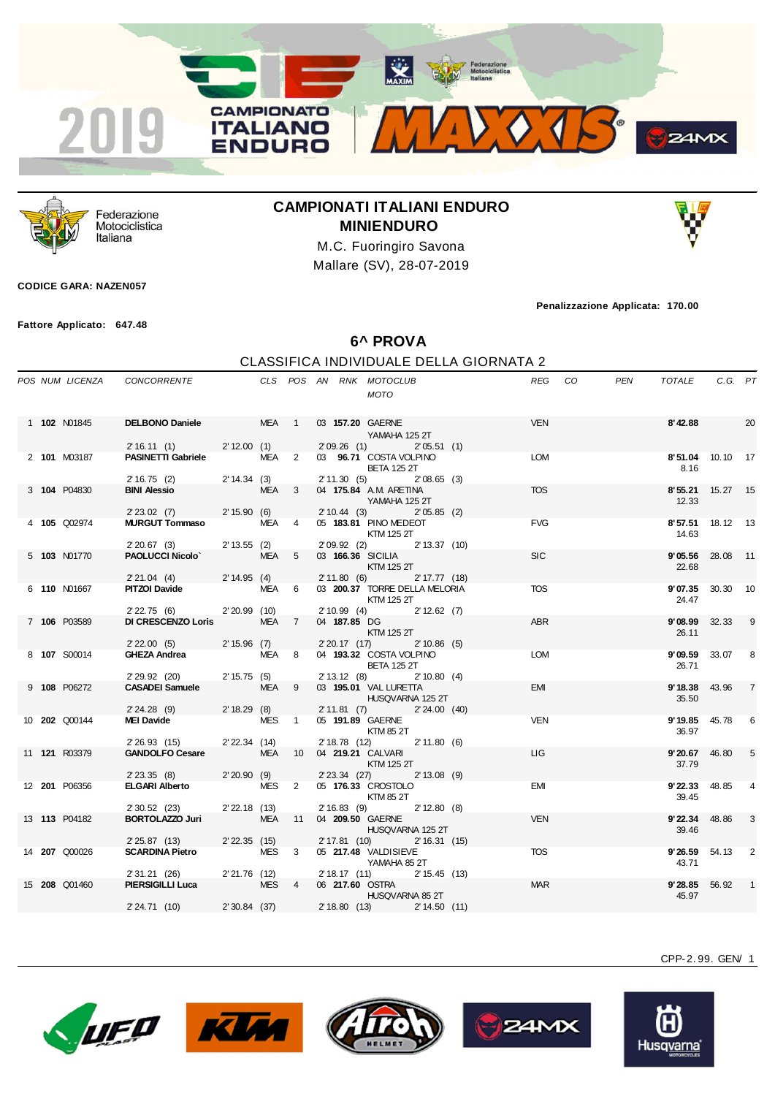



Federazione Motociclistica Italiana

## **CAMPIONATI ITALIANI ENDURO MINIENDURO**

M.C. Fuoringiro Savona Mallare (SV), 28-07-2019

## **CODICE GARA: NAZEN057**

**Fattore Applicato: 647.48**

**Penalizzazione Applicata: 170.00**

**6^ PROVA**

## CLASSIFICA INDIVIDUALE DELLA GIORNATA 2

|  | POS NUM LICENZA      | CONCORRENTE CLS POS AN RNK MOTOCLUB                                                    |               |                  |    |                  | <b>MOTO</b>                                                                                       | REG CO     | PEN | TOTALE                        | C.G. PT  |                            |
|--|----------------------|----------------------------------------------------------------------------------------|---------------|------------------|----|------------------|---------------------------------------------------------------------------------------------------|------------|-----|-------------------------------|----------|----------------------------|
|  | 1 102 N01845         | <b>DELBONO Daniele</b><br>2' 16.11 (1) 2' 12.00 (1)                                    | MEA 1         |                  |    | 03 157.20 GAERNE | YAMAHA 125 2T<br>2'09.26 (1) 2'05.51 (1)                                                          | VEN        |     | 8'42.88                       |          | 20                         |
|  | 2 101 M03187         | <b>PASINETTI Gabriele</b>                                                              |               | MEA <sub>2</sub> |    |                  | 03 96.71 COSTA VOLPINO<br><b>BETA 125 2T</b>                                                      | <b>LOM</b> |     | 8'51.04 10.10 17<br>8.16      |          |                            |
|  | 3 104 P04830         | $2'16.75$ (2) $2'14.34$ (3)<br><b>BINI Alessio</b><br>2' 23.02 (7) 2' 15.90 (6)        |               | MEA <sub>3</sub> |    |                  | 2' 11.30 (5) 2' 08.65 (3)<br>04 175.84 A.M. ARETINA<br>YAMAHA 125 2T<br>2' 10.44 (3) 2' 05.85 (2) | <b>TOS</b> |     | 8'55.21 15.27 15<br>12.33     |          |                            |
|  | 4 105 Q02974         | <b>MURGUT Tommaso</b> MEA 4                                                            |               |                  |    |                  | 05 183.81 PINO MEDEOT<br>KTM 125 2T<br>2' 09.92 (2) 2' 13.37 (10)                                 | <b>FVG</b> |     | 8'57.51 18.12 13<br>14.63     |          |                            |
|  | 5 103 N01770         | 2' 20.67 (3) 2' 13.55 (2)<br><b>PAOLUCCI Nicolo</b> MEA 5<br>2' 21.04 (4) 2' 14.95 (4) | MEA 5         |                  |    |                  | 03 166.36 SICILIA<br>KTM 125 2T<br>2' 11.80 (6) 2' 17.77 (18)                                     | <b>SIC</b> |     | 9'05.56<br>22.68              | 28.08 11 |                            |
|  | 6 110 N01667         | <b>PITZOI Davide</b><br>2' 22.75 (6) 2' 20.99 (10)                                     |               | MEA 6            |    |                  | 03 200.37 TORRE DELLA MELORIA<br><b>KTM 125 2T</b>                                                | <b>TOS</b> |     | 9'07.35 30.30 10<br>24.47     |          |                            |
|  | 7 106 P03589         | DI CRESCENZO Loris MEA 7<br>2' 22.00 (5) 2' 15.96 (7)                                  |               |                  |    | 04 187.85 DG     | $2'10.99$ (4) $2'12.62$ (7)<br><b>KTM 125 2T</b><br>2' 20.17 (17) 2' 10.86 (5)                    | ABR        |     | <b>9'08.99</b> 32.33<br>26.11 |          | - 9                        |
|  | 8 107 S00014         | GHEZA Andrea MEA 8                                                                     |               |                  |    |                  | 04 193.32 COSTA VOLPINO<br><b>BETA 125 2T</b><br>2' 13.12 (8)<br>2'10.80(4)                       | LOM        |     | <b>9'09.59</b> 33.07<br>26.71 |          | 8                          |
|  | 9 108 P06272         | 2' 29.92 (20) 2' 15.75 (5)<br>CASADEI Samuele MEA 9<br>2' 24.28 (9) 2' 18.29 (8)       | MEA 9         |                  |    |                  | 03 195.01 VAL LURETTA<br>HUSQVARNA 125 2T<br>2' 11.81 (7) 2' 24.00 (40)                           | <b>EMI</b> |     | 9'18.38<br>35.50              | 43.96    | $\overline{7}$             |
|  | 10 202 Q00144        | MEI Davide MES 1<br>2' 26.93 (15) 2' 22.34 (14)                                        |               |                  |    |                  | 05 191.89 GAERNE<br>KTM 85 2T<br>2' 18.78 (12) 2' 11.80 (6)                                       | <b>VEN</b> |     | 9'19.85<br>36.97              | 45.78    | 6                          |
|  | 11 <b>121</b> R03379 | GANDOLFO Cesare MEA 10 04 219.21 CALVARI<br>2' 23.35 (8) 2' 20.90 (9)                  |               |                  |    |                  | KTM 125 2T<br>2' 23.34 (27) 2' 13.08 (9)                                                          | LIG.       |     | 9' 20.67<br>37.79             | 46.80    | 5                          |
|  | 12 201 P06356        | <b>ELGARI Alberto</b><br>$2'30.52$ (23)                                                | 2' 22.18 (13) | MES <sub>2</sub> |    |                  | 05 176.33 CROSTOLO<br>KTM 85 2T<br>2' 16.83 (9) 2' 12.80 (8)                                      | EMI        |     | 9'22.33<br>39.45              | 48.85    | 4                          |
|  | 13 113 P04182        | <b>BORTOLAZZO Juri</b><br>2' 25.87 (13) 2' 22.35 (15)                                  |               | MEA              | 11 |                  | 04 209.50 GAERNE<br>HUSQVARNA 125 2T<br>2' 17.81 (10) 2' 16.31 (15)                               | <b>VEN</b> |     | <b>9'22.34</b> 48.86<br>39.46 |          | 3                          |
|  | 14 207 Q00026        | <b>SCARDINA Pietro</b><br>2'31.21 (26) 2'21.76 (12)                                    |               | MES 3            |    |                  | 05 217.48 VALDISIEVE<br>YAMAHA 85 2T<br>2' 18.17 (11)<br>2' 15.45 (13)                            | <b>TOS</b> |     | <b>9'26.59</b> 54.13<br>43.71 |          | $\overline{\phantom{0}}^2$ |
|  | 15 208 Q01460        | <b>PIERSIGILLI Luca</b><br>2' 24.71 (10) 2' 30.84 (37) 2' 18.80 (13) 2' 14.50 (11)     |               | MES <sub>4</sub> |    |                  | 06 217.60 OSTRA 2007<br>HUSQVARNA 85 2T                                                           | <b>MAR</b> |     | <b>9'28.85</b> 56.92<br>45.97 |          | $\overline{1}$             |
|  |                      |                                                                                        |               |                  |    |                  |                                                                                                   |            |     |                               |          |                            |









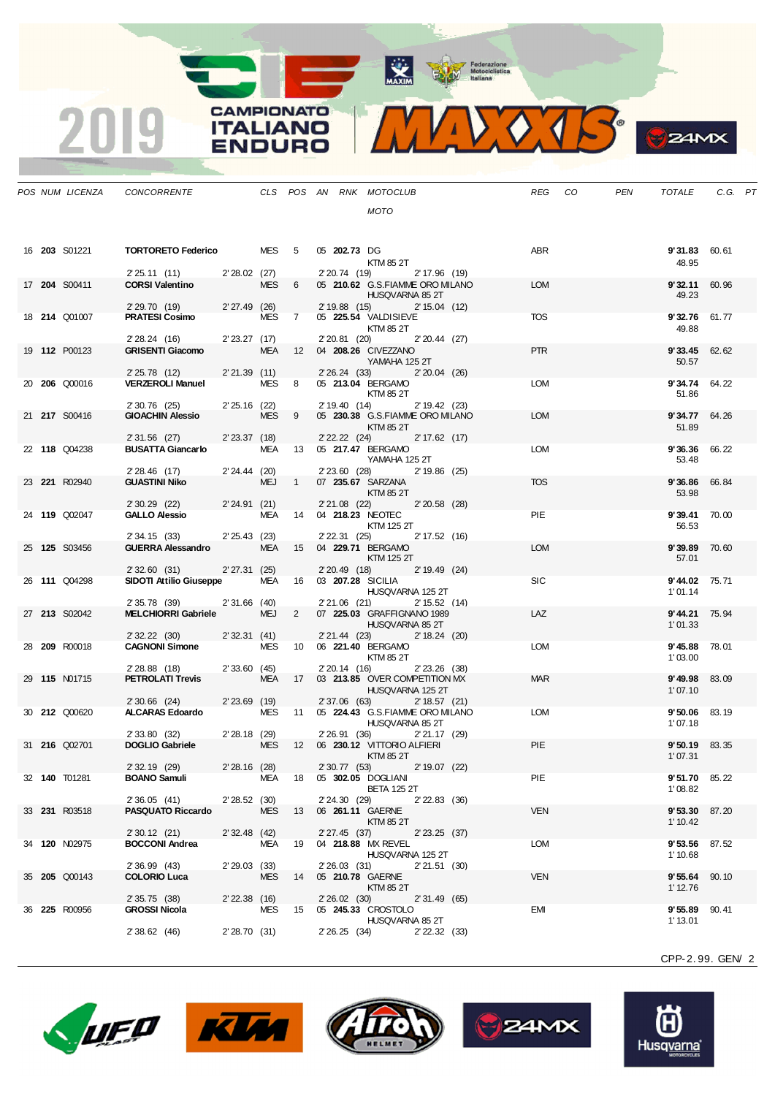MAXIM Pederazione

3

**24MX** 

**CAMPIONATO** 50.01  $\mathbf{v}$   $\mathbf{v}$ **ITALIANO** 

|  | POS NUM LICENZA      | CONCORRENTE                                            |                            |            |                 |                | CLS POS AN RNK MOTOCLUB                                 | REG CO     | PEN | TOTALE                          | C.G. PT |  |
|--|----------------------|--------------------------------------------------------|----------------------------|------------|-----------------|----------------|---------------------------------------------------------|------------|-----|---------------------------------|---------|--|
|  |                      |                                                        |                            |            |                 |                | <b>MOTO</b>                                             |            |     |                                 |         |  |
|  |                      |                                                        |                            |            |                 |                |                                                         |            |     |                                 |         |  |
|  |                      |                                                        |                            |            |                 |                |                                                         |            |     |                                 |         |  |
|  | 16 <b>203</b> S01221 | <b>TORTORETO Federico</b> MES 5                        |                            |            |                 | 05 202.73 DG   | KTM 85 2T                                               | ABR        |     | <b>9'31.83</b> 60.61<br>48.95   |         |  |
|  |                      | 2' 25.11 (11)                                          | 2' 28.02 (27)              |            |                 | 2' 20.74 (19)  | 2' 17.96 (19)                                           |            |     |                                 |         |  |
|  | 17 204 S00411        | <b>CORSI Valentino</b>                                 |                            | <b>MES</b> | $6\overline{6}$ |                | 05 210.62 G.S.FIAMME ORO MILANO                         | <b>LOM</b> |     | 9'32.11                         | 60.96   |  |
|  |                      | 2' 29.70 (19) 2' 27.49 (26)                            |                            |            |                 | 2' 19.88 (15)  | HUSQVARNA 85 2T<br>2' 15.04 (12)                        |            |     | 49.23                           |         |  |
|  | 18 214 Q01007        | <b>PRATESI Cosimo</b>                                  |                            | MES        | $\overline{7}$  |                | 05 225.54 VALDISIEVE                                    | <b>TOS</b> |     | 9'32.76 61.77                   |         |  |
|  |                      |                                                        |                            |            |                 |                | KTM 85 2T                                               |            |     | 49.88                           |         |  |
|  | 19 112 P00123        | 2'28.24(16)<br><b>GRISENTI Giacomo</b>                 | $2' 23.27$ (17)            | MEA        |                 | 2' 20.81 (20)  | $2'20.44$ (27)<br>12   04 <b>208.26</b> CIVEZZANO       | <b>PTR</b> |     | 9'33.45                         | 62.62   |  |
|  |                      |                                                        |                            |            |                 |                | YAMAHA 125 2T                                           |            |     | 50.57                           |         |  |
|  | 20 206 Q00016        | 2' 25.78 (12)<br><b>VERZEROLI Manuel</b>               | 2'21.39(11)                | MES 8      |                 |                | 2' 26.24 (33) 2' 20.04 (26)<br>05 213.04 BERGAMO        | <b>LOM</b> |     | <b>9'34.74</b> 64.22            |         |  |
|  |                      |                                                        |                            |            |                 |                | KTM 85 2T                                               |            |     | 51.86                           |         |  |
|  |                      | 2' 30.76 (25)<br>GIOACHIN Alessio                      | $2'25.16$ (22)             |            |                 |                | 2' 19.40 (14) 2' 19.42 (23)                             |            |     |                                 |         |  |
|  | 21 <b>217</b> S00416 |                                                        |                            | MES        | - 9             |                | 05 230.38 G.S.FIAMME ORO MILANO<br>KTM 85 2T            | <b>LOM</b> |     | 9'34.77<br>51.89                | 64.26   |  |
|  |                      | 2' 31.56 (27)                                          | 2'23.37 (18)               |            |                 |                | 2' 22.22 (24) 2' 17.62 (17)                             |            |     |                                 |         |  |
|  | 22 118 Q04238        | <b>BUSATTA Giancarlo MEA 13 05 217.47 BERGAMO</b>      |                            |            |                 |                | YAMAHA 125 2T                                           | <b>LOM</b> |     | 9'36.36 66.22                   |         |  |
|  |                      | $2'28.46$ (17) $2'24.44$ (20)                          |                            |            |                 |                | 2' 23.60 (28) 2' 19.86 (25)                             |            |     | 53.48                           |         |  |
|  | 23 221 R02940        | <b>GUASTINI Niko</b>                                   |                            | MEJ 1      |                 |                | 07 235.67 SARZANA                                       | <b>TOS</b> |     | 9'36.86                         | 66.84   |  |
|  |                      | 2' 30.29 (22) 2' 24.91 (21)                            |                            |            |                 |                | KTM 85 2T<br>2'21.08 (22) 2'20.58 (28)                  |            |     | 53.98                           |         |  |
|  | 24 119 Q02047        | <b>GALLO Alessio</b>                                   |                            |            |                 |                | MEA 14 04 218.23 NEOTEC                                 | PIE        |     | 9'39.41 70.00                   |         |  |
|  |                      |                                                        |                            |            |                 |                | KTM 125 2T                                              |            |     | 56.53                           |         |  |
|  | 25 125 S03456        | 2' 34.15 (33)<br><b>GUERRA Alessandro</b>              | 2'25.43(23)                |            |                 | 2' 22.31 (25)  | 2' 17.52 (16)<br>MEA 15 04 229.71 BERGAMO               | <b>LOM</b> |     | 9'39.89                         | 70.60   |  |
|  |                      |                                                        |                            |            |                 |                | KTM 125 2T                                              |            |     | 57.01                           |         |  |
|  | 26 111 Q04298        | 2' 32.60 (31) 2' 27.31 (25)<br>SIDOTI Attilio Giuseppe |                            |            |                 | $2'20.49$ (18) | 2' 19.49 (24)<br>MEA 16 03 207.28 SICILIA               | <b>SIC</b> |     | 9'44.02 75.71                   |         |  |
|  |                      |                                                        |                            |            |                 |                | HUSQVARNA 125 2T                                        |            |     | 1'01.14                         |         |  |
|  |                      | 2' 35.78 (39)                                          | $2'31.66$ (40)             |            |                 | 2' 21.06 (21)  | 2' 15.52 (14)                                           |            |     |                                 |         |  |
|  | 27 213 S02042        | <b>MELCHIORRI Gabriele</b>                             |                            | <b>MEJ</b> | $2^{\circ}$     |                | 07 225.03 GRAFFIGNANO 1989<br>HUSQVARNA 85 2T           | LAZ        |     | <b>9'44.21</b> 75.94<br>1'01.33 |         |  |
|  |                      | 2'32.22(30)                                            | 2'32.31(41)                |            |                 |                | 2' 21.44 (23) 2' 18.24 (20)                             |            |     |                                 |         |  |
|  | 28 209 R00018        | <b>CAGNONI Simone</b>                                  |                            | MES        |                 |                |                                                         | <b>LOM</b> |     | 9'45.88                         | 78.01   |  |
|  |                      | 2' 28.88 (18)                                          | 2'33.60(45)                |            |                 |                | KTM 85 2T<br>2'20.14 (16) 2'23.26 (38)                  |            |     | 1'03.00                         |         |  |
|  | 29 115 N01715        | <b>PETROLATI Trevis</b>                                |                            |            |                 |                | MEA 17 03 213.85 OVER COMPETITION MX                    | <b>MAR</b> |     | 9'49.98                         | 83.09   |  |
|  |                      | 2' 30.66 (24) 2' 23.69 (19)                            |                            |            |                 |                | HUSQVARNA 125 2T<br>2' 37.06 (63) 2' 18.57 (21)         |            |     | 1'07.10                         |         |  |
|  | 30 212 Q00620        | <b>ALCARAS Edoardo</b>                                 |                            |            |                 |                | MES 11 05 224.43 G.S.FIAMME ORO MILANO                  | <b>LOM</b> |     | <b>9'50.06</b> 83.19            |         |  |
|  |                      |                                                        |                            |            |                 |                | HUSQVARNA 85 2T                                         |            |     | 1'07.18                         |         |  |
|  | 31 <b>216</b> Q02701 | 2' 33.80 (32)<br><b>DOGLIO Gabriele</b>                | 2'28.18 (29)<br><b>MES</b> |            |                 |                | 2' 26.91 (36)<br>$2'21.17$ (29)                         | <b>PIE</b> |     | 9'50.19                         | 83.35   |  |
|  |                      |                                                        |                            |            |                 |                | KTM 85 2T                                               |            |     | 1'07.31                         |         |  |
|  |                      | 2' 32.19 (29)                                          | 2' 28.16 (28)              |            |                 |                | 2' 30.77 (53) 2' 19.07 (22)                             |            |     |                                 |         |  |
|  | 32 140 T01281        | <b>BOANO Samuli</b>                                    |                            |            |                 |                | MEA 18 05 302.05 DOGLIANI<br><b>BETA 125 2T</b>         | PIE        |     | <b>9'51.70</b> 85.22<br>1'08.82 |         |  |
|  |                      | 2'36.05(41)                                            | 2'28.52(30)                |            |                 | 2' 24, 30 (29) | 2' 22.83 (36)                                           |            |     |                                 |         |  |
|  | 33 231 R03518        | <b>PASQUATO Riccardo</b>                               |                            | MES        | 13              |                | 06 261.11 GAERNE<br>KTM 85 2T                           | <b>VEN</b> |     | <b>9'53.30</b> 87.20<br>1'10.42 |         |  |
|  |                      | 2'30.12(21)                                            | 2'32.48(42)                |            |                 |                | 2' 27.45 (37) 2' 23.25 (37)                             |            |     |                                 |         |  |
|  | 34 120 N02975        | <b>BOCCONI Andrea</b>                                  |                            | MEA        | 19              |                | 04 218.88 MX REVEL                                      | LOM        |     | 9'53.56 87.52                   |         |  |
|  |                      | 2' 36.99 (43)                                          | 2'29.03(33)                |            |                 |                | HUSQVARNA 125 2T<br>2'26.03 (31) 2'21.51 (30)           |            |     | 1'10.68                         |         |  |
|  | 35 205 Q00143        | <b>COLORIO Luca</b>                                    |                            | <b>MES</b> |                 |                | 14  05  210.78  GAERNE                                  | <b>VEN</b> |     | 9'55.64                         | 90.10   |  |
|  |                      |                                                        |                            |            |                 |                | KTM 85 2T                                               |            |     | 1' 12.76                        |         |  |
|  | 36 <b>225</b> R00956 | 2' 35.75 (38)<br><b>GROSSI Nicola</b>                  | 2'22.38(16)                | MES        |                 |                | 2' 26.02 (30) 2' 31.49 (65)<br>15  05  245.33  CROSTOLO | EMI        |     | 9'55.89                         | 90.41   |  |
|  |                      |                                                        |                            |            |                 |                | HUSQVARNA 85 2T                                         |            |     | 1'13.01                         |         |  |
|  |                      | 2'38.62(46)                                            | 2'28.70(31)                |            |                 |                | 2' 26.25 (34)<br>$2'$ 22.32 $(33)$                      |            |     |                                 |         |  |

CPP-2. 99. GEN/ 2



2019

**ENDURO** 







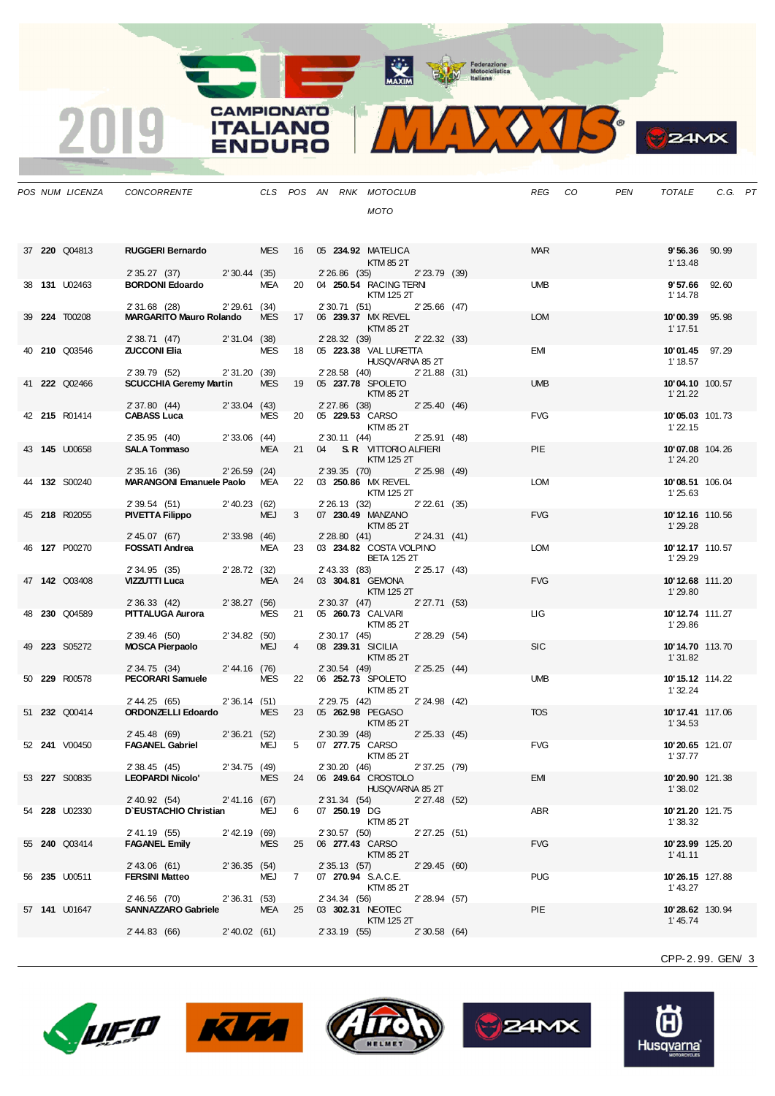MAXIM Rederazione

 $VOTS$  $\mathbf{V}_{\mathbf{A}}$ 

**B**ZAMX

|  | POS NUM LICENZA      | CONCORRENTE                                     |                |            |                |                | CLS POS AN RNK MOTOCLUB                          |  | REG CO     | <b>PEN</b> | TOTALE                     | C.G. PT |  |
|--|----------------------|-------------------------------------------------|----------------|------------|----------------|----------------|--------------------------------------------------|--|------------|------------|----------------------------|---------|--|
|  |                      |                                                 |                |            |                |                | <b>MOTO</b>                                      |  |            |            |                            |         |  |
|  |                      |                                                 |                |            |                |                |                                                  |  |            |            |                            |         |  |
|  |                      |                                                 |                |            |                |                |                                                  |  |            |            |                            |         |  |
|  | 37 220 Q04813        | <b>RUGGERI Bernardo</b>                         |                | <b>MES</b> |                |                | 16 05 234.92 MATELICA                            |  | <b>MAR</b> |            | <b>9'56.36</b> 90.99       |         |  |
|  |                      | 2' 35.27 (37)                                   | 2'30.44(35)    |            |                | $2'26.86$ (35) | KTM 85 2T<br>$2'$ 23.79 $(39)$                   |  |            |            | 1' 13.48                   |         |  |
|  | 38 <b>131</b> U02463 | <b>BORDONI Edoardo</b>                          |                | MEA        |                |                | 20 04 250.54 RACING TERN                         |  | <b>UMB</b> |            | 9'57.66                    | 92.60   |  |
|  |                      |                                                 |                |            |                |                | KTM 125 2T                                       |  |            |            | 1' 14.78                   |         |  |
|  |                      | 2' 31.68 (28)<br><b>MARGARITO Mauro Rolando</b> | 2'29.61(34)    |            |                | 2' 30.71 (51)  | $2'25.66$ (47)<br>17 06 239.37 MX REVEL          |  | <b>LOM</b> |            | 10'00.39                   |         |  |
|  | 39 224 T00208        |                                                 |                | <b>MES</b> |                |                | KTM 85 2T                                        |  |            |            | 1' 17.51                   | 95.98   |  |
|  |                      | 2' 38.71 (47) 2' 31.04 (38)                     |                |            |                | 2' 28.32 (39)  | 2' 22.32 (33)                                    |  |            |            |                            |         |  |
|  | 40 210 Q03546        | <b>ZUCCONI Elia</b>                             |                | <b>MES</b> | 18             |                | 05 223.38 VAL LURETTA                            |  | <b>EMI</b> |            | 10'01.45 97.29             |         |  |
|  |                      | 2' 39.79 (52)                                   | 2'31.20(39)    |            |                |                | HUSQVARNA 85 2T<br>2'28.58 (40) 2'21.88 (31)     |  |            |            | 1' 18.57                   |         |  |
|  | 41 222 Q02466        | <b>SCUCCHIA Geremy Martin</b>                   |                | <b>MES</b> |                |                | 19 05 237.78 SPOLETO                             |  | <b>UMB</b> |            | 10'04.10 100.57            |         |  |
|  |                      |                                                 |                |            |                |                | KTM 85 2T                                        |  |            |            | 1'21.22                    |         |  |
|  | 42 215 R01414        | 2' 37.80 (44)<br><b>CABASS Luca</b>             | 2'33.04(43)    | <b>MES</b> | 20             |                | 2' 27.86 (38) 2' 25.40 (46)<br>05 229.53 CARSO   |  | <b>FVG</b> |            | 10'05.03 101.73            |         |  |
|  |                      |                                                 |                |            |                |                | KTM 85 2T                                        |  |            |            | 1'22.15                    |         |  |
|  |                      | 2'35.95(40)                                     | $2'33.06$ (44) |            |                |                | 2' 30.11 (44)<br>2'25.91(48)                     |  |            |            |                            |         |  |
|  | 43 145 U00658        | <b>SALA Tommaso</b>                             |                | MEA        |                |                | 21 04 S.R. VITTORIO ALFIERI                      |  | PIE        |            | 10'07.08 104.26<br>1'24.20 |         |  |
|  |                      | 2' 35.16 (36)                                   | 2'26.59(24)    |            |                | 2' 39.35 (70)  | KTM 125 2T<br>2' 25.98 (49)                      |  |            |            |                            |         |  |
|  | 44 132 S00240        | <b>MARANGONI Emanuele Paolo</b> MEA             |                |            |                |                | 22 03 250.86 MX REVEL                            |  | LOM        |            | 10'08.51 106.04            |         |  |
|  |                      |                                                 |                |            |                |                | KTM 125 2T                                       |  |            |            | 1'25.63                    |         |  |
|  | 45 218 R02055        | 2' 39.54 (51)<br><b>PIVETTA Filippo</b>         | 2'40.23 (62)   | MEJ        | 3 <sup>1</sup> | 2' 26.13 (32)  | 2'22.61(35)<br>07 230.49 MANZANO                 |  | <b>FVG</b> |            | 10'12.16 110.56            |         |  |
|  |                      |                                                 |                |            |                |                | KTM 85 2T                                        |  |            |            | 1'29.28                    |         |  |
|  |                      | 2'45.07 (67)                                    | $2'33.98$ (46) |            |                | 2'28.80(41)    | 2'24.31(41)                                      |  |            |            |                            |         |  |
|  | 46 127 P00270        | <b>FOSSATI Andrea</b>                           |                | <b>MEA</b> |                |                | 23 03 234.82 COSTA VOLPINO<br><b>BETA 125 2T</b> |  | <b>LOM</b> |            | 10'12.17 110.57<br>1'29.29 |         |  |
|  |                      | 2' 34.95 (35)                                   | 2'28.72(32)    |            |                | 2' 43.33 (83)  | 2'25.17(43)                                      |  |            |            |                            |         |  |
|  | 47 142 Q03408        | VIZZUTTI Luca                                   |                | MEA        |                |                | 24 03 304.81 GEMONA                              |  | <b>FVG</b> |            | 10'12.68 111.20            |         |  |
|  |                      |                                                 |                |            |                |                | KTM 125 2T                                       |  |            |            | 1'29.80                    |         |  |
|  | 48 230 Q04589        | 2'36.33(42)<br><b>PITTALUGA Aurora</b>          | 2'38.27(56)    | MES        |                | 2' 30.37 (47)  | 2'27.71(53)<br>21 05 260.73 CALVARI              |  | LIG.       |            | 10'12.74 111.27            |         |  |
|  |                      |                                                 |                |            |                |                | KTM 85 2T                                        |  |            |            | 1'29.86                    |         |  |
|  |                      | 2'39.46(50)                                     | 2'34.82(50)    |            |                | 2' 30.17 (45)  | 2'28.29(54)                                      |  |            |            |                            |         |  |
|  | 49 223 S05272        | MOSCA Pierpaolo                                 |                | MEJ        | $\overline{4}$ |                | 08 239.31 SICILIA<br>KTM 85 2T                   |  | <b>SIC</b> |            | 10'14.70 113.70<br>1'31.82 |         |  |
|  |                      | 2' 34.75 (34)                                   | 2'44.16 (76)   |            |                |                | 2' 30.54 (49) 2' 25.25 (44)                      |  |            |            |                            |         |  |
|  | 50 229 R00578        | <b>PECORARI Samuele</b>                         |                | MES        | 22             |                | 06 252.73 SPOLETO                                |  | <b>UMB</b> |            | 10'15.12 114.22            |         |  |
|  |                      | 2' 44.25 (65)                                   | 2'36.14(51)    |            |                |                | KTM 85 2T<br>2' 29.75 (42)<br>2' 24.98 (42)      |  |            |            | 1'32.24                    |         |  |
|  | 51 232 Q00414        | ORDONZELLI Edoardo                              |                | <b>MES</b> |                |                | 23 05 262.98 PEGASO                              |  | <b>TOS</b> |            | 10'17.41 117.06            |         |  |
|  |                      |                                                 |                |            |                |                | <b>KTM 85 2T</b>                                 |  |            |            | 1'34.53                    |         |  |
|  | 52 <b>241</b> V00450 | 2' 45.48 (69)<br><b>FAGANEL Gabriel</b>         | 2'36.21(52)    | MEJ        | 5              | $2'30.39$ (48) | 2'25.33(45)<br>07 277.75 CARSO                   |  | <b>FVG</b> |            |                            |         |  |
|  |                      |                                                 |                |            |                |                | KTM 85 2T                                        |  |            |            | 10'20.65 121.07<br>1'37.77 |         |  |
|  |                      | 2' 38.45 (45)                                   | 2' 34.75 (49)  |            |                |                | 2' 30.20 (46) 2' 37.25 (79)                      |  |            |            |                            |         |  |
|  | 53 <b>227</b> S00835 | <b>LEOPARDI Nicolo'</b>                         |                | <b>MES</b> |                |                | 24 06 249.64 CROSTOLO                            |  | EMI        |            | 10'20.90 121.38            |         |  |
|  |                      | 2' 40.92 (54)                                   | 2' 41.16 (67)  |            |                |                | HUSQVARNA 85 2T<br>2' 31.34 (54) 2' 27.48 (52)   |  |            |            | 1'38.02                    |         |  |
|  | 54 228 U02330        | D'EUSTACHIO Christian                           |                | MEJ        | 6              |                | 07 250.19 DG                                     |  | ABR        |            | 10'21.20 121.75            |         |  |
|  |                      |                                                 |                |            |                |                | KTM 85 2T                                        |  |            |            | 1'38.32                    |         |  |
|  | 55 240 Q03414        | 2' 41.19 (55)<br><b>FAGANEL Emily</b>           | 2' 42.19 (69)  | <b>MES</b> | 25             | 2' 30.57 (50)  | 2'27.25(51)<br>06 277.43 CARSO                   |  | <b>FVG</b> |            | 10'23.99 125.20            |         |  |
|  |                      |                                                 |                |            |                |                | KTM 85 2T                                        |  |            |            | 1'41.11                    |         |  |
|  |                      | $2'$ 43.06 (61)                                 | 2'36.35(54)    |            |                | 2' 35.13 (57)  | 2' 29.45 (60)                                    |  |            |            |                            |         |  |
|  | 56 235 U00511        | <b>FERSINI Matteo</b>                           |                | MEJ        | 7              |                | 07 270.94 S.A.C.E.                               |  | <b>PUG</b> |            | 10'26.15 127.88            |         |  |
|  |                      | 2' 46.56 (70)                                   | 2'36.31(53)    |            |                | 2' 34.34 (56)  | KTM 85 2T<br>2'28.94 (57)                        |  |            |            | 1'43.27                    |         |  |
|  | 57 141 U01647        | SANNAZZARO Gabriele                             |                | MEA        | 25             |                | 03 302.31 NEOTEC                                 |  | PIE        |            | 10'28.62 130.94            |         |  |
|  |                      |                                                 |                |            |                |                | KTM 125 2T                                       |  |            |            | 1'45.74                    |         |  |
|  |                      | 2' 44.83 (66)                                   | 2' 40.02 (61)  |            |                |                | 2' 33.19 (55)<br>2'30.58(64)                     |  |            |            |                            |         |  |

**CAMPIONATO** 

**ITALIANO** 

**ENDURO** 

2019









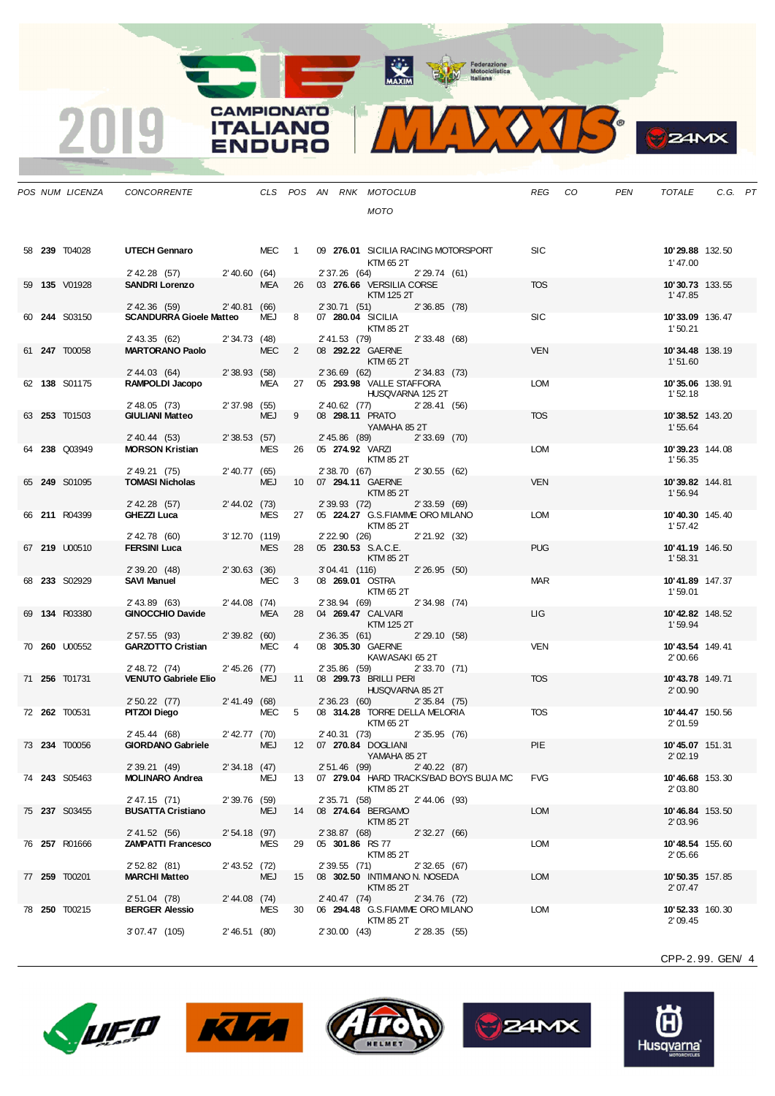MAXIM Rederazione

**CAMPIONATO** 

**ITALIANO** 

**ENDURO** 

2019



**B** ZAMX

|  | POS NUM LICENZA | CONCORRENTE                               |                 |            |                |                 | CLS POS AN RNK MOTOCLUB                     |                |                                           | REG        | CO | PEN | TOTALE                     | C.G. PT |  |
|--|-----------------|-------------------------------------------|-----------------|------------|----------------|-----------------|---------------------------------------------|----------------|-------------------------------------------|------------|----|-----|----------------------------|---------|--|
|  |                 |                                           |                 |            |                |                 | <b>MOTO</b>                                 |                |                                           |            |    |     |                            |         |  |
|  |                 |                                           |                 |            |                |                 |                                             |                |                                           |            |    |     |                            |         |  |
|  | 58 239 T04028   | UTECH Gennaro                             |                 | MEC 1      |                |                 | 09 276.01 SICILIA RACING MOTORSPORT         |                |                                           | <b>SIC</b> |    |     | 10'29.88 132.50            |         |  |
|  |                 |                                           |                 |            |                |                 | KTM 65 2T                                   |                |                                           |            |    |     | 1'47.00                    |         |  |
|  |                 | 2' 42.28 (57)                             | $2'$ 40.60 (64) |            |                | 2' 37.26 (64)   |                                             | 2'29.74(61)    |                                           |            |    |     |                            |         |  |
|  | 59 135 V01928   | <b>SANDRI Lorenzo</b>                     |                 | <b>MEA</b> | 26             |                 | 03 276.66 VERSILIA CORSE<br>KTM 125 2T      |                |                                           | <b>TOS</b> |    |     | 10'30.73 133.55<br>1'47.85 |         |  |
|  |                 | $2'$ 42.36 (59)                           | 2' 40.81 (66)   |            |                | 2' 30.71 (51)   |                                             | 2'36.85 (78)   |                                           |            |    |     |                            |         |  |
|  | 60 244 S03150   | <b>SCANDURRA Gioele Matteo</b>            |                 | MEJ        | 8              |                 | 07 280.04 SICILIA                           |                |                                           | <b>SIC</b> |    |     | 10'33.09 136.47            |         |  |
|  |                 | 2' 43.35 (62)                             | 2'34.73(48)     |            |                | 2' 41.53 (79)   | KTM 85 2T                                   | 2'33.48 (68)   |                                           |            |    |     | 1'50.21                    |         |  |
|  | 61 247 T00058   | <b>MARTORANO Paolo</b>                    |                 | <b>MEC</b> | 2              |                 | 08 292.22 GAERNE                            |                |                                           | <b>VEN</b> |    |     | 10'34.48 138.19            |         |  |
|  |                 |                                           |                 |            |                |                 | KTM 65 2T                                   |                |                                           |            |    |     | 1'51.60                    |         |  |
|  | 62 138 S01175   | 2' 44.03 (64)<br>RAMPOLDI Jacopo          | 2'38.93 (58)    | <b>MEA</b> | 27             |                 | 2' 36.69 (62)<br>05 293.98 VALLE STAFFORA   | 2'34.83(73)    |                                           | LOM        |    |     | 10'35.06 138.91            |         |  |
|  |                 |                                           |                 |            |                |                 | HUSQVARNA 125 2T                            |                |                                           |            |    |     | 1'52.18                    |         |  |
|  | 63 253 T01503   | 2' 48.05 (73)<br><b>GIULIANI Matteo</b>   | $2'37.98$ (55)  | <b>MEJ</b> | 9              |                 | 2' 40.62 (77)<br>08 298.11 PRATO            | 2'28.41(56)    |                                           | <b>TOS</b> |    |     | 10'38.52 143.20            |         |  |
|  |                 |                                           |                 |            |                |                 | YAMAHA 85 2T                                |                |                                           |            |    |     | 1'55.64                    |         |  |
|  |                 | $2'$ 40.44 (53)                           | 2'38.53 (57)    |            |                |                 | 2' 45.86 (89)                               | $2'33.69$ (70) |                                           |            |    |     |                            |         |  |
|  | 64 238 Q03949   | <b>MORSON Kristian</b>                    |                 | <b>MES</b> |                |                 | 26 05 274.92 VARZI<br>KTM 85 2T             |                |                                           | <b>LOM</b> |    |     | 10'39.23 144.08<br>1'56.35 |         |  |
|  |                 | 2' 49.21 (75)                             | 2'40.77(65)     |            |                | 2' 38.70 (67)   |                                             | 2'30.55(62)    |                                           |            |    |     |                            |         |  |
|  | 65 249 S01095   | <b>TOMASI Nicholas</b>                    |                 | MEJ        | 10             |                 | 07 294.11 GAERNE<br>KTM 85 2T               |                |                                           | <b>VEN</b> |    |     | 10'39.82 144.81            |         |  |
|  |                 | 2' 42.28 (57)                             | 2'44.02(73)     |            |                | 2' 39.93 (72)   |                                             | 2'33.59(69)    |                                           |            |    |     | 1'56.94                    |         |  |
|  | 66 211 R04399   | GHEZZI Luca                               |                 | MES        |                |                 | 27 05 224.27 G.S.FIAMME ORO MILANO          |                |                                           | LOM        |    |     | 10'40.30 145.40            |         |  |
|  |                 | 2' 42.78 (60)                             | 3' 12.70 (119)  |            |                | 2' 22.90 (26)   | KTM 85 2T                                   | 2' 21.92 (32)  |                                           |            |    |     | 1'57.42                    |         |  |
|  | 67 219 U00510   | <b>FERSINI Luca</b>                       |                 | <b>MES</b> | 28             |                 | 05 230.53 S.A.C.E.                          |                |                                           | <b>PUG</b> |    |     | 10'41.19 146.50            |         |  |
|  |                 |                                           |                 |            |                |                 | KTM 85 2T                                   |                |                                           |            |    |     | 1'58.31                    |         |  |
|  | 68 233 S02929   | 2'39.20(48)<br><b>SAVI Manuel</b>         | 2'30.63(36)     | MEC        | 3              | 3'04.41(116)    | 08 269.01 OSTRA                             | 2'26.95(50)    |                                           | <b>MAR</b> |    |     | 10'41.89 147.37            |         |  |
|  |                 |                                           |                 |            |                |                 | KTM 65 2T                                   |                |                                           |            |    |     | 1'59.01                    |         |  |
|  | 69 134 R03380   | 2' 43.89 (63)<br><b>GINOCCHIO Davide</b>  | 2' 44.08 (74)   | <b>MEA</b> | 28             | 2' 38.94 (69)   | 04 269.47 CALVARI                           | 2'34.98(74)    |                                           | LIG        |    |     | 10'42.82 148.52            |         |  |
|  |                 |                                           |                 |            |                |                 | KTM 125 2T                                  |                |                                           |            |    |     | 1'59.94                    |         |  |
|  |                 | 2' 57.55 (93)                             | 2'39.82(60)     |            |                | 2' 36.35 (61)   |                                             | 2' 29.10 (58)  |                                           |            |    |     |                            |         |  |
|  | 70 260 U00552   | <b>GARZOTTO Cristian</b>                  |                 | <b>MEC</b> | $\overline{4}$ |                 | 08 305.30 GAERNE<br>KAWASAKI 65 2T          |                |                                           | <b>VEN</b> |    |     | 10'43.54 149.41<br>2'00.66 |         |  |
|  |                 | 2' 48.72 (74)                             | $2'45.26$ (77)  |            |                |                 | 2' 35.86 (59) 2' 33.70 (71)                 |                |                                           |            |    |     |                            |         |  |
|  | 71 256 T01731   | <b>VENUTO Gabriele Elio</b>               |                 | MEJ        | 11             |                 | 08 299.73 BRILLI PERI<br>HUSQVARNA 85 2T    |                |                                           | <b>TOS</b> |    |     | 10'43.78 149.71<br>2'00.90 |         |  |
|  |                 | $2'50.22$ (77)                            | 2' 41.49 (68)   |            |                |                 | 2' 36.23 (60)                               | 2'35.84(75)    |                                           |            |    |     |                            |         |  |
|  | 72 262 T00531   | PITZOI Diego                              |                 | MEC 5      |                |                 | 08 314.28 TORRE DELLA MELORIA               |                |                                           | <b>TOS</b> |    |     | 10'44.47 150.56            |         |  |
|  |                 | 2' 45.44 (68)                             | 2' 42.77 (70)   |            |                | 2' 40.31 (73)   | KTM 65 2T                                   | 2'35.95(76)    |                                           |            |    |     | 2'01.59                    |         |  |
|  | 73 234 T00056   | <b>GIORDANO Gabriele</b>                  |                 | MEJ        |                |                 | 12  07  270.84  DOGLIANI                    |                |                                           | PIE        |    |     | 10'45.07 151.31            |         |  |
|  |                 | 2' 39.21 (49)                             | 2' 34.18 (47)   |            |                |                 | YAMAHA 85 2T<br>2' 51.46 (99) 2' 40.22 (87) |                |                                           |            |    |     | 2'02.19                    |         |  |
|  | 74 243 S05463   | <b>MOLINARO Andrea</b>                    |                 | MEJ        |                |                 |                                             |                | 13 07 279.04 HARD TRACKS/BAD BOYS BUJA MC | <b>FVG</b> |    |     | 10'46.68 153.30            |         |  |
|  |                 |                                           |                 |            |                |                 | KTM 85 2T                                   |                |                                           |            |    |     | 2'03.80                    |         |  |
|  | 75 237 S03455   | 2' 47.15 (71)<br><b>BUSATTA Cristiano</b> | $2'39.76$ (59)  | MEJ        | 14             | 2' 35.71 (58)   | 08 274.64 BERGAMO                           | 2' 44.06 (93)  |                                           | <b>LOM</b> |    |     | 10'46.84 153.50            |         |  |
|  |                 |                                           |                 |            |                |                 | KTM 85 2T                                   |                |                                           |            |    |     | 2' 03.96                   |         |  |
|  |                 | 2' 41.52 (56)                             | $2'54.18$ (97)  |            |                |                 | 2' 38.87 (68) 2' 32.27 (66)                 |                |                                           | LOM        |    |     |                            |         |  |
|  | 76 257 R01666   | <b>ZAMPATTI Francesco</b>                 |                 | MES        | 29             |                 | 05 301.86 RS 77<br>KTM 85 2T                |                |                                           |            |    |     | 10'48.54 155.60<br>2'05.66 |         |  |
|  |                 | 2' 52.82 (81)                             | 2' 43.52 (72)   |            |                | 2' 39.55 (71)   |                                             | 2'32.65(67)    |                                           |            |    |     |                            |         |  |
|  | 77 259 T00201   | <b>MARCHI Matteo</b>                      |                 | MEJ        | 15             |                 | 08 302.50 INTIMIANO N. NOSEDA<br>KTM 85 2T  |                |                                           | <b>LOM</b> |    |     | 10'50.35 157.85<br>2'07.47 |         |  |
|  |                 | 2' 51.04 (78)                             | 2' 44.08 (74)   |            |                | $2'$ 40.47 (74) |                                             | 2'34.76 (72)   |                                           |            |    |     |                            |         |  |
|  | 78 250 T00215   | <b>BERGER Alessio</b>                     |                 | <b>MES</b> | 30             |                 | 06 294.48 G.S.FIAMME ORO MILANO             |                |                                           | LOM        |    |     | 10' 52.33 160.30           |         |  |
|  |                 | 3'07.47 (105)                             | 2'46.51(80)     |            |                | 2'30.00(43)     | KTM 85 2T                                   | 2'28.35(55)    |                                           |            |    |     | 2'09.45                    |         |  |
|  |                 |                                           |                 |            |                |                 |                                             |                |                                           |            |    |     |                            |         |  |









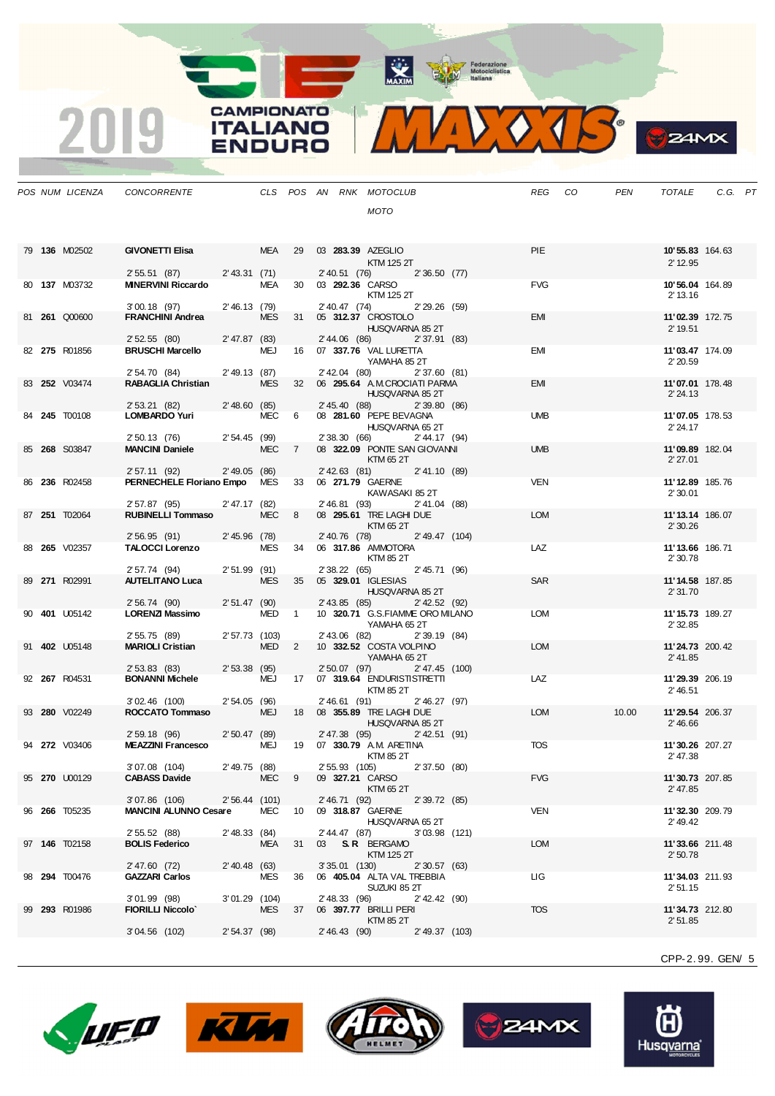MAXIM Rederazione

VOJS.  $\mathbf{V}$ 

**B**ZAMX

|  | POS NUM LICENZA      | CONCORRENTE                               |                 |            |                |                 | CLS POS AN RNK MOTOCLUB                                    |                                | <b>REG</b> | CO | PEN   | TOTALE                      | C.G. PT |  |
|--|----------------------|-------------------------------------------|-----------------|------------|----------------|-----------------|------------------------------------------------------------|--------------------------------|------------|----|-------|-----------------------------|---------|--|
|  |                      |                                           |                 |            |                |                 | <b>MOTO</b>                                                |                                |            |    |       |                             |         |  |
|  |                      |                                           |                 |            |                |                 |                                                            |                                |            |    |       |                             |         |  |
|  |                      |                                           |                 |            |                |                 |                                                            |                                |            |    |       |                             |         |  |
|  | 79 136 M02502        | <b>GIVONETTI Elisa</b>                    |                 | MEA        | 29             |                 | 03 283.39 AZEGLIO                                          |                                | <b>PIE</b> |    |       | 10' 55.83 164.63            |         |  |
|  |                      | 2'55.51(87)                               | $2'$ 43.31 (71) |            |                | 2' 40.51 (76)   | KTM 125 2T                                                 | 2'36.50(77)                    |            |    |       | 2' 12.95                    |         |  |
|  | 80 137 M03732        | <b>MINERVINI Riccardo</b>                 |                 | MEA        | 30             |                 | 03 292.36 CARSO                                            |                                | <b>FVG</b> |    |       | 10'56.04 164.89             |         |  |
|  |                      |                                           |                 |            |                |                 | KTM 125 2T                                                 |                                |            |    |       | 2' 13.16                    |         |  |
|  | 81 261 Q00600        | $3'00.18$ (97)<br><b>FRANCHINI Andrea</b> | 2'46.13(79)     | <b>MES</b> | 31             | 2' 40.47 (74)   | 05 312.37 CROSTOLO                                         | 2'29.26(59)                    | EMI        |    |       | 11'02.39 172.75             |         |  |
|  |                      |                                           |                 |            |                |                 |                                                            | HUSQVARNA 85 2T                |            |    |       | 2' 19.51                    |         |  |
|  |                      | 2'52.55(80)                               | $2' 47.87$ (83) |            |                |                 | 2' 44.06 (86) 2' 37.91 (83)                                |                                |            |    |       |                             |         |  |
|  | 82 275 R01856        | <b>BRUSCHI Marcello</b>                   |                 | MEJ        | 16             |                 | 07 337.76 VAL LURETTA<br>YAMAHA 852T                       |                                | EMI        |    |       | 11'03.47 174.09<br>2'20.59  |         |  |
|  |                      | 2' 54.70 (84)                             | $2'$ 49.13 (87) |            |                |                 | 2'42.04 (80)                                               | 2'37.60(81)                    |            |    |       |                             |         |  |
|  | 83 252 V03474        | RABAGLIA Christian                        |                 | <b>MES</b> | 32             |                 | 06 295.64 A.M.CROCIATI PARMA                               |                                | <b>EMI</b> |    |       | 11'07.01 178.48             |         |  |
|  |                      | 2' 53.21 (82)                             | 2'48.60(85)     |            |                |                 | 2' 45.40 (88)                                              | HUSQVARNA 85 2T<br>2'39.80(86) |            |    |       | 2' 24.13                    |         |  |
|  | 84 245 T00108        | LOMBARDO Yuri                             |                 | MEC        | 6              |                 | 08 281.60 PEPE BEVAGNA                                     |                                | <b>UMB</b> |    |       | 11'07.05 178.53             |         |  |
|  |                      |                                           |                 |            |                |                 |                                                            | HUSQVARNA 65 2T                |            |    |       | 2' 24.17                    |         |  |
|  | 85 268 S03847        | 2' 50.13 (76)<br><b>MANCINI Daniele</b>   | 2'54.45(99)     | MEC 7      |                |                 | 2' 38.30 (66)<br>08 322.09 PONTE SAN GIOVANNI              | 2' 44.17 (94)                  | <b>UMB</b> |    |       | 11'09.89 182.04             |         |  |
|  |                      |                                           |                 |            |                |                 | KTM 65 2T                                                  |                                |            |    |       | 2'27.01                     |         |  |
|  |                      | 2' 57.11 (92)                             | $2'$ 49.05 (86) |            |                | $2'$ 42.63 (81) |                                                            | 2' 41.10 (89)                  |            |    |       |                             |         |  |
|  | 86 236 R02458        | PERNECHELE Floriano Empo MES              |                 |            | 33             |                 | 06 271.79 GAERNE<br>KAWASAKI 85 2T                         |                                | <b>VEN</b> |    |       | 11'12.89 185.76<br>2'30.01  |         |  |
|  |                      | 2' 57.87 (95)                             | 2'47.17 (82)    |            |                | 2' 46.81 (93)   |                                                            | 2' 41.04 (88)                  |            |    |       |                             |         |  |
|  | 87 251 T02064        | <b>RUBINELLI Tommaso</b>                  |                 | <b>MEC</b> | 8              |                 | 08 295.61 TRE LAGHI DUE                                    |                                | <b>LOM</b> |    |       | 11'13.14 186.07             |         |  |
|  |                      | 2'56.95(91)                               | 2'45.96(78)     |            |                | 2' 40.76 (78)   | KTM 65 2T                                                  | 2' 49.47 (104)                 |            |    |       | 2'30.26                     |         |  |
|  | 88 265 V02357        | <b>TALOCCI Lorenzo</b>                    |                 | <b>MES</b> | 34             |                 | 06 317.86 AMMOTORA                                         |                                | LAZ        |    |       | 11'13.66 186.71             |         |  |
|  |                      |                                           |                 |            |                |                 | KTM 85 2T                                                  |                                |            |    |       | 2'30.78                     |         |  |
|  | 89 271 R02991        | 2' 57.74 (94)<br><b>AUTELITANO Luca</b>   | $2'51.99$ (91)  | <b>MES</b> | 35             | 2' 38.22 (65)   | 05 329.01 IGLESIAS                                         | 2'45.71(96)                    | SAR        |    |       | 11'14.58 187.85             |         |  |
|  |                      |                                           |                 |            |                |                 |                                                            | HUSQVARNA 85 2T                |            |    |       | 2' 31.70                    |         |  |
|  |                      | 2' 56.74 (90)                             | 2'51.47(90)     |            |                |                 | 2' 43.85 (85)                                              | $2'$ 42.52 (92)                |            |    |       |                             |         |  |
|  | 90 401 U05142        | <b>LORENZI Massimo</b>                    |                 | <b>MED</b> | $\overline{1}$ |                 | 10 320.71 G.S.FIAMME ORO MILANO<br>YAMAHA 652T             |                                | <b>LOM</b> |    |       | 11'15.73 189.27<br>2'32.85  |         |  |
|  |                      | 2' 55.75 (89)                             | 2' 57.73 (103)  |            |                | 2' 43.06 (82)   |                                                            | 2'39.19(84)                    |            |    |       |                             |         |  |
|  | 91 <b>402</b> U05148 | <b>MARIOLI Cristian</b>                   |                 | <b>MED</b> | 2              |                 | 10 332.52 COSTA VOLPINO                                    |                                | <b>LOM</b> |    |       | 11'24.73 200.42             |         |  |
|  |                      | 2' 53.83 (83)                             | 2'53.38(95)     |            |                |                 | YAMAHA 65 2T<br>2' 50.07 (97) 2' 47.45 (100)               |                                |            |    |       | 2' 41.85                    |         |  |
|  | 92 267 R04531        | <b>BONANNI Michele</b>                    |                 | MEJ        | 17             |                 | 07 319.64 ENDURISTISTRETTI                                 |                                | LAZ        |    |       | 11'29.39 206.19             |         |  |
|  |                      |                                           | $2'54.05$ (96)  |            |                |                 | KTM 85 2T                                                  |                                |            |    |       | 2' 46.51                    |         |  |
|  | 93 280 V02249        | $3'02.46$ (100)<br>ROCCATO Tommaso        |                 | <b>MEJ</b> | 18             |                 | 2'46.61 (91)<br>08 355.89 TRE LAGHI DUE                    | 2'46.27(97)                    | <b>LOM</b> |    | 10.00 | 11'29.54 206.37             |         |  |
|  |                      |                                           |                 |            |                |                 |                                                            | HUSQVARNA 85 2T                |            |    |       | 2' 46.66                    |         |  |
|  | 94 272 V03406        | 2'59.18(96)<br><b>MEAZZINI Francesco</b>  | 2'50.47(89)     | MEJ        | 19             |                 | 2' 47.38 (95)<br>07 330.79 A.M. ARETINA                    | $2'$ 42.51 (91)                | <b>TOS</b> |    |       | 11'30.26 207.27             |         |  |
|  |                      |                                           |                 |            |                |                 | KTM 85 2T                                                  |                                |            |    |       | 2' 47.38                    |         |  |
|  |                      | 3'07.08 (104)                             | 2'49.75 (88)    |            |                |                 | 2' 55.93 (105) 2' 37.50 (80)                               |                                |            |    |       |                             |         |  |
|  | 95 270 U00129        | <b>CABASS Davide</b>                      |                 | MEC 9      |                |                 | 09 327.21 CARSO<br>KTM 65 2T                               |                                | <b>FVG</b> |    |       | 11'30.73 207.85<br>2' 47.85 |         |  |
|  |                      | 3'07.86 (106)                             | 2'56.44 (101)   |            |                |                 | 2' 46.71 (92) 2' 39.72 (85)                                |                                |            |    |       |                             |         |  |
|  | 96 266 T05235        | <b>MANCINI ALUNNO Cesare</b>              |                 | MEC        | 10             |                 | 09 318.87 GAERNE                                           |                                | <b>VEN</b> |    |       | 11'32.30 209.79             |         |  |
|  |                      | 2'55.52(88)                               | 2' 48.33 (84)   |            |                |                 | 2' 44.47 (87) 3' 03.98 (121)                               | HUSQVARNA 65 2T                |            |    |       | 2' 49.42                    |         |  |
|  | 97 146 T02158        | <b>BOLIS Federico</b>                     |                 | MEA        | 31             |                 | 03 S.R. BERGAMO                                            |                                | <b>LOM</b> |    |       | 11'33.66 211.48             |         |  |
|  |                      |                                           |                 |            |                |                 | KTM 125 2T                                                 |                                |            |    |       | 2'50.78                     |         |  |
|  | 98 294 T00476        | 2' 47.60 (72)<br><b>GAZZARI Carlos</b>    | $2'$ 40.48 (63) | MES        | 36             |                 | 3' 35.01 (130) 2' 30.57 (63)<br>06 405.04 ALTA VAL TREBBIA |                                | LIG.       |    |       | 11'34.03 211.93             |         |  |
|  |                      |                                           |                 |            |                |                 | SUZUKI 85 2T                                               |                                |            |    |       | 2'51.15                     |         |  |
|  |                      | $3'01.99$ (98)                            | 3'01.29 (104)   |            |                |                 | 2' 48.33 (96) 2' 42.42 (90)                                |                                |            |    |       |                             |         |  |
|  | 99 293 R01986        | <b>FIORILLI Niccolo'</b>                  |                 | MES        |                |                 | 37 06 397.77 BRILLI PERI<br>KTM 85 2T                      |                                | <b>TOS</b> |    |       | 11'34.73 212.80<br>2'51.85  |         |  |
|  |                      | 3'04.56 (102)                             | 2' 54.37 (98)   |            |                |                 | 2' 46.43 (90) 2' 49.37 (103)                               |                                |            |    |       |                             |         |  |
|  |                      |                                           |                 |            |                |                 |                                                            |                                |            |    |       |                             |         |  |

**CAMPIONATO** 

**ITALIANO** 

**ENDURO** 

2019









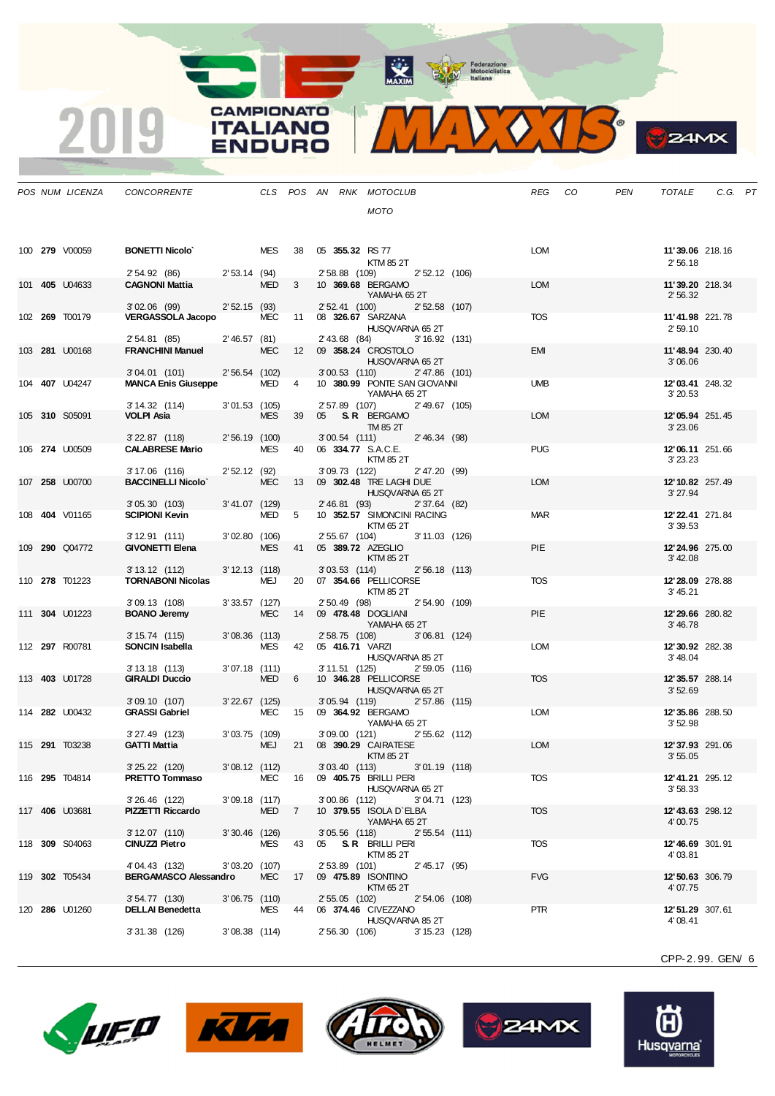**ANTIQUE DE CONSTRUISION DE CONSTRUISION DE CONSTRUERE DE CONSTRUERE DE CONSTRUERE DE CONSTRUERE DE CONSTRUERE** 

O.JR  $\sqrt{4}$ 

|  | POS NUM LICENZA       | CONCORRENTE                                |                  |            |                   |    |                 | CLS POS AN RNK MOTOCLUB                                | <b>REG</b> | CO | <b>PEN</b> | <b>TOTALE</b>               | C.G. PT |  |
|--|-----------------------|--------------------------------------------|------------------|------------|-------------------|----|-----------------|--------------------------------------------------------|------------|----|------------|-----------------------------|---------|--|
|  |                       |                                            |                  |            |                   |    |                 | MOTO                                                   |            |    |            |                             |         |  |
|  |                       |                                            |                  |            |                   |    |                 |                                                        |            |    |            |                             |         |  |
|  | 100 279 V00059        | <b>BONETTI Nicolo</b>                      |                  | MES        | 38                |    |                 | 05 355.32 RS 77<br>KTM 85 2T                           | LOM        |    |            | 11'39.06 218.16<br>2'56.18  |         |  |
|  |                       | 2' 54.92 (86)                              | $2'53.14$ (94)   |            |                   |    | 2' 58.88 (109)  | 2' 52.12 (106)                                         |            |    |            |                             |         |  |
|  | 101 <b>405</b> U04633 | <b>CAGNONI Mattia</b>                      |                  | <b>MED</b> | 3                 |    |                 | 10 369.68 BERGAMO<br>YAMAHA 65 2T                      | <b>LOM</b> |    |            | 11'39.20 218.34<br>2'56.32  |         |  |
|  |                       | $3'02.06$ (99)                             | 2'52.15(93)      |            |                   |    | 2' 52.41 (100)  | 2'52.58 (107)                                          |            |    |            |                             |         |  |
|  | 102 269 T00179        | <b>VERGASSOLA Jacopo</b>                   |                  | <b>MEC</b> | 11                |    |                 | 08 326.67 SARZANA<br>HUSQVARNA 65 2T                   | <b>TOS</b> |    |            | 11'41.98 221.78<br>2'59.10  |         |  |
|  | 103 281 U00168        | 2' 54.81 (85)<br><b>FRANCHINI Manuel</b>   | 2'46.57(81)      | <b>MEC</b> | $12 \overline{ }$ |    |                 | 2' 43.68 (84)<br>$3'16.92$ (131)<br>09 358.24 CROSTOLO | <b>EMI</b> |    |            | 11'48.94 230.40             |         |  |
|  |                       | $3'04.01$ (101)                            | 2' 56.54 (102)   |            |                   |    |                 | HUSQVARNA 65 2T<br>$3'00.53$ (110)<br>2'47.86 (101)    |            |    |            | 3'06.06                     |         |  |
|  | 104 <b>407</b> U04247 | <b>MANCA Enis Giuseppe</b>                 |                  | MED        | 4                 |    |                 | 10 380.99 PONTE SAN GIOVANNI                           | <b>UMB</b> |    |            | 12'03.41 248.32             |         |  |
|  |                       | 3' 14.32 (114)                             | $3'01.53$ (105)  |            |                   |    | 2' 57.89 (107)  | YAMAHA 652T<br>2'49.67 (105)                           |            |    |            | 3'20.53                     |         |  |
|  | 105 310 S05091        | VOLPI Asia                                 |                  | <b>MES</b> | 39                |    |                 | 05 S.R. BERGAMO                                        | <b>LOM</b> |    |            | 12'05.94 251.45             |         |  |
|  |                       | $3'$ 22.87 $(118)$                         | 2'56.19 (100)    |            |                   |    | $3'00.54$ (111) | TM 85 2T<br>2'46.34 (98)                               |            |    |            | 3' 23.06                    |         |  |
|  | 106 274 U00509        | <b>CALABRESE Mario</b>                     |                  | <b>MES</b> | 40                |    |                 | 06 334.77 S.A.C.E.                                     | <b>PUG</b> |    |            | 12'06.11 251.66             |         |  |
|  |                       |                                            |                  |            |                   |    |                 | KTM 85 2T                                              |            |    |            | 3'23.23                     |         |  |
|  | 107 258 U00700        | 3'17.06 (116)<br><b>BACCINELLI Nicolo'</b> | 2'52.12(92)      | <b>MEC</b> | 13                |    | 3'09.73 (122)   | 2' 47.20 (99)<br>09 302.48 TRE LAGHI DUE               | <b>LOM</b> |    |            | 12'10.82 257.49             |         |  |
|  |                       |                                            |                  |            |                   |    |                 | HUSQVARNA 65 2T                                        |            |    |            | 3'27.94                     |         |  |
|  |                       | 3' 05.30 (103)                             | 3'41.07 (129)    |            |                   |    | 2' 46.81 (93)   | 2' 37.64 (82)                                          |            |    |            |                             |         |  |
|  | 108 404 V01165        | <b>SCIPIONI Kevin</b>                      |                  | <b>MED</b> | 5                 |    |                 | 10 352.57 SIMONCINI RACING<br>KTM 65 2T                | <b>MAR</b> |    |            | 12'22.41 271.84<br>3'39.53  |         |  |
|  | 109 290 Q04772        | 3' 12.91 (111)<br><b>GIVONETTI Elena</b>   | 3'02.80(106)     | <b>MES</b> | 41                |    | 2' 55.67 (104)  | 3' 11.03 (126)<br>05 389.72 AZEGLIO                    | PIE        |    |            | 12'24.96 275.00             |         |  |
|  |                       |                                            |                  |            |                   |    |                 | KTM 85 2T                                              |            |    |            | 3' 42.08                    |         |  |
|  |                       | $3'13.12$ (112)                            | $3' 12.13$ (118) |            |                   |    | 3'03.53(114)    | 2'56.18 (113)                                          |            |    |            |                             |         |  |
|  | 110 278 T01223        | <b>TORNABONI Nicolas</b>                   |                  | MEJ        | 20                |    |                 | 07 354.66 PELLICORSE<br>KTM 85 2T                      | <b>TOS</b> |    |            | 12'28.09 278.88<br>3' 45.21 |         |  |
|  | 111 304 U01223        | 3'09.13 (108)<br><b>BOANO Jeremy</b>       | $3'33.57$ (127)  | <b>MEC</b> | 14                |    | 2' 50.49 (98)   | 2' 54.90 (109)<br>09 478.48 DOGLIANI                   | <b>PIE</b> |    |            | 12'29.66 280.82             |         |  |
|  |                       | 3'15.74(115)                               | $3'08.36$ (113)  |            |                   |    |                 | YAMAHA 65 2T<br>3'06.81 (124)<br>2' 58.75 (108)        |            |    |            | 3' 46.78                    |         |  |
|  | 112 297 R00781        | SONCIN Isabella                            |                  | MES        | 42                |    |                 | 05 416.71 VARZI                                        | <b>LOM</b> |    |            | 12'30.92 282.38             |         |  |
|  |                       |                                            |                  |            |                   |    |                 | HUSQVARNA 85 2T                                        |            |    |            | 3' 48.04                    |         |  |
|  |                       | $3'13.18$ (113)                            | $3'07.18$ (111)  |            |                   |    | 3' 11.51 (125)  | $2'59.05$ (116)                                        |            |    |            |                             |         |  |
|  | 113 403 U01728        | <b>GIRALDI Duccio</b>                      |                  | <b>MED</b> | 6                 |    |                 | 10 346.28 PELLICORSE<br>HUSQVARNA 65 2T                | <b>TOS</b> |    |            | 12' 35.57 288.14<br>3'52.69 |         |  |
|  |                       | 3'09.10(107)                               | $3'22.67$ (125)  |            |                   |    |                 | 3'05.94 (119)<br>2'57.86 (115)                         |            |    |            |                             |         |  |
|  | 114 282 U00432        | <b>GRASSI Gabriel</b>                      |                  | <b>MEC</b> | 15                |    |                 | 09 364.92 BERGAMO<br>YAMAHA 652T                       | <b>LOM</b> |    |            | 12'35.86 288.50<br>3'52.98  |         |  |
|  | 115 <b>291</b> T03238 | 3'27.49 (123)<br><b>GATTI Mattia</b>       | 3'03.75 (109)    | <b>MEJ</b> | 21                |    | $3'09.00$ (121) | $2'55.62$ (112)<br>08 390.29 CAIRATESE                 | <b>LOM</b> |    |            | 12'37.93 291.06             |         |  |
|  |                       |                                            |                  |            |                   |    |                 | <b>KTM 85 2T</b>                                       |            |    |            | 3'55.05                     |         |  |
|  |                       | 3' 25.22 (120)                             | 3'08.12 (112)    |            |                   |    |                 | 3'03.40 (113) 3'01.19 (118)                            |            |    |            |                             |         |  |
|  | 116 295 T04814        | PRETTO Tommaso                             |                  | MEC        | 16                |    |                 | 09 405.75 BRILLI PERI<br>HUSQVARNA 65 2T               | <b>TOS</b> |    |            | 12'41.21 295.12<br>3'58.33  |         |  |
|  | 117 406 U03681        | 3'26.46 (122)<br>PIZZETTI Riccardo         | $3'09.18$ (117)  | <b>MED</b> | 7                 |    | $3'00.86$ (112) | 3'04.71 (123)<br>10 379.55 ISOLA D'ELBA                | <b>TOS</b> |    |            | 12'43.63 298.12             |         |  |
|  |                       |                                            |                  |            |                   |    |                 | YAMAHA 652T                                            |            |    |            | 4'00.75                     |         |  |
|  |                       | 3'12.07(110)                               | 3'30.46 (126)    |            |                   |    | $3'05.56$ (118) | $2'55.54$ (111)                                        |            |    |            |                             |         |  |
|  | 118 309 S04063        | CINUZZI Pietro                             |                  | MES        | 43                | 05 |                 | <b>S. R</b> BRILLI PERI<br>KTM 85 2T                   | <b>TOS</b> |    |            | 12'46.69 301.91<br>4'03.81  |         |  |
|  |                       | 4'04.43 (132)                              | 3'03.20 (107)    |            |                   |    | 2' 53.89 (101)  | 2'45.17(95)                                            |            |    |            |                             |         |  |
|  | 119 302 T05434        | <b>BERGAMASCO Alessandro</b>               |                  | <b>MEC</b> | 17                |    |                 | 09 475.89 ISONTINO                                     | <b>FVG</b> |    |            | 12'50.63 306.79             |         |  |
|  |                       |                                            | 3'06.75 (110)    |            |                   |    |                 | KTM 65 2T                                              |            |    |            | 4'07.75                     |         |  |
|  | 120 286 U01260        | $3'54.77$ (130)<br><b>DELLAI Benedetta</b> |                  | MES        | 44                |    | 2' 55.05 (102)  | 2'54.06 (108)<br>06 374.46 CIVEZZANO                   | <b>PTR</b> |    |            | 12' 51.29 307.61            |         |  |
|  |                       |                                            |                  |            |                   |    |                 | HUSQVARNA 85 2T                                        |            |    |            | 4'08.41                     |         |  |
|  |                       | 3'31.38 (126)                              | $3'08.38$ (114)  |            |                   |    | 2' 56.30 (106)  | 3' 15.23 (128)                                         |            |    |            |                             |         |  |

**CAMPIONATO** 

**ITALIANO** 

ENDURO

2019









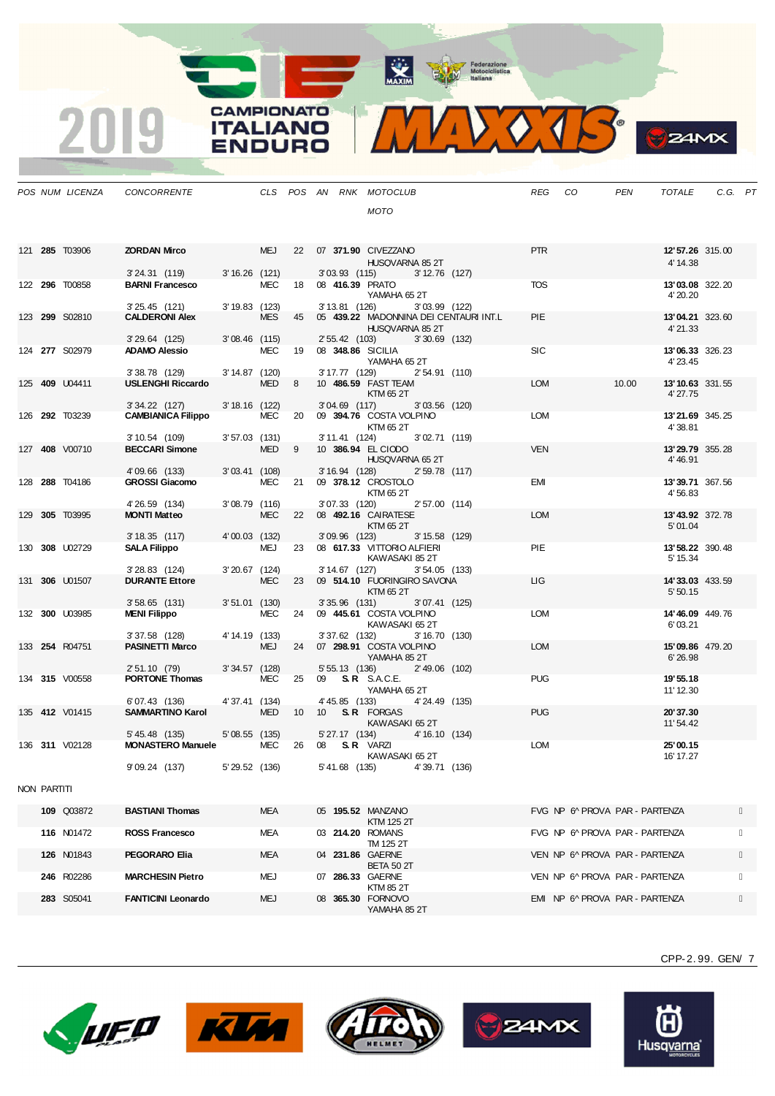MAXIM Pederazione

**CAMPIONATO** 

**ITALIANO** 

**ENDURO** 

2019

MIDO TR

|             | POS NUM LICENZA       | <b>CONCORRENTE</b>                           |                  |            |    |                 | CLS POS AN RNK MOTOCLUB                          |                  |                                        | REG CO     |                                | PEN   | TOTALE                      | C.G. PT |  |
|-------------|-----------------------|----------------------------------------------|------------------|------------|----|-----------------|--------------------------------------------------|------------------|----------------------------------------|------------|--------------------------------|-------|-----------------------------|---------|--|
|             |                       |                                              |                  |            |    |                 | MOTO                                             |                  |                                        |            |                                |       |                             |         |  |
|             |                       |                                              |                  |            |    |                 |                                                  |                  |                                        |            |                                |       |                             |         |  |
|             |                       |                                              |                  |            |    |                 |                                                  |                  |                                        |            |                                |       |                             |         |  |
|             | 121 285 T03906        | <b>ZORDAN Mirco</b>                          |                  | <b>MEJ</b> |    |                 | 22  07  371.90  CIVEZZANO                        |                  |                                        | <b>PTR</b> |                                |       | 12'57.26 315.00             |         |  |
|             |                       | 3' 24.31 (119)                               | $3'16.26$ (121)  |            |    |                 | HUSQVARNA 85 2T<br>3'03.93 (115) 3'12.76 (127)   |                  |                                        |            |                                |       | 4' 14.38                    |         |  |
|             | 122 296 T00858        | <b>BARNI Francesco</b>                       |                  | MEC        | 18 |                 | 08 416.39 PRATO                                  |                  |                                        | <b>TOS</b> |                                |       | 13'03.08 322.20             |         |  |
|             |                       |                                              |                  |            |    |                 | YAMAHA 65 2T                                     |                  |                                        |            |                                |       | 4' 20.20                    |         |  |
|             | 123 299 S02810        | $3'25.45$ (121)<br><b>CALDERONI Alex</b>     | $3' 19.83$ (123) | <b>MES</b> | 45 | 3' 13.81 (126)  |                                                  | 3'03.99 (122)    | 05 439.22 MADONNINA DEI CENTAURI INT.L | PIE        |                                |       | <b>13'04.21</b> 323.60      |         |  |
|             |                       |                                              |                  |            |    |                 | HUSQVARNA 85 2T                                  |                  |                                        |            |                                |       | 4'21.33                     |         |  |
|             |                       | $3'29.64$ (125)                              | $3'08.46$ (115)  |            |    |                 | 2' 55.42 (103)                                   | $3'30.69$ (132)  |                                        |            |                                |       |                             |         |  |
|             | 124 277 S02979        | <b>ADAMO Alessio</b>                         |                  | <b>MEC</b> | 19 |                 | 08 348.86 SICILIA                                |                  |                                        | <b>SIC</b> |                                |       | 13'06.33 326.23             |         |  |
|             |                       | 3'38.78 (129)                                | 3' 14.87 (120)   |            |    | 3' 17.77 (129)  | YAMAHA 65 2T                                     | 2'54.91 (110)    |                                        |            |                                |       | 4' 23.45                    |         |  |
|             | 125 409 U04411        | <b>USLENGHI Riccardo</b>                     |                  | <b>MED</b> | 8  |                 | 10 486.59 FAST TEAM                              |                  |                                        | <b>LOM</b> |                                | 10.00 | 13'10.63 331.55             |         |  |
|             |                       |                                              |                  |            |    |                 | KTM 65 2T                                        |                  |                                        |            |                                |       | 4' 27.75                    |         |  |
|             | 126 292 T03239        | $3'34.22$ (127)<br><b>CAMBIANICA Filippo</b> | 3' 18.16 (122)   | <b>MEC</b> | 20 | $3'04.69$ (117) | 09 394.76 COSTA VOLPINO                          | $3'03.56$ (120)  |                                        | <b>LOM</b> |                                |       | 13'21.69 345.25             |         |  |
|             |                       |                                              |                  |            |    |                 | KTM 65 2T                                        |                  |                                        |            |                                |       | 4'38.81                     |         |  |
|             |                       | $3'10.54$ (109)                              | $3'57.03$ (131)  |            |    | 3' 11.41 (124)  |                                                  | 3'02.71(119)     |                                        |            |                                |       |                             |         |  |
|             | 127 408 V00710        | <b>BECCARI Simone</b>                        |                  | <b>MED</b> | 9  |                 | 10 386.94 EL CIODO                               |                  |                                        | <b>VEN</b> |                                |       | 13'29.79 355.28             |         |  |
|             |                       | 4'09.66 (133)                                | $3'03.41$ (108)  |            |    |                 | HUSQVARNA 65 2T<br>3' 16.94 (128) 2' 59.78 (117) |                  |                                        |            |                                |       | 4' 46.91                    |         |  |
|             | 128 288 T04186        | <b>GROSSI Giacomo</b>                        |                  | <b>MEC</b> | 21 |                 | 09 378.12 CROSTOLO                               |                  |                                        | EMI        |                                |       | 13'39.71 367.56             |         |  |
|             |                       |                                              |                  |            |    |                 | KTM 65 2T                                        |                  |                                        |            |                                |       | 4'56.83                     |         |  |
|             |                       | 4' 26.59 (134)                               | 3'08.79 (116)    |            |    |                 | 3'07.33 (120)                                    | 2'57.00 (114)    |                                        |            |                                |       |                             |         |  |
|             | 129 305 T03995        | <b>MONTI Matteo</b>                          |                  | <b>MEC</b> |    |                 | 22 08 492.16 CAIRATESE<br>KTM 65 2T              |                  |                                        | <b>LOM</b> |                                |       | 13' 43.92 372.78<br>5'01.04 |         |  |
|             |                       | 3'18.35(117)                                 | 4'00.03 (132)    |            |    | $3'09.96$ (123) |                                                  | $3' 15.58$ (129) |                                        |            |                                |       |                             |         |  |
|             | 130 308 U02729        | <b>SALA Filippo</b>                          |                  | MEJ        |    |                 | 23 08 617.33 VITTORIO ALFIERI                    |                  |                                        | PIE        |                                |       | 13' 58.22 390.48            |         |  |
|             |                       |                                              |                  |            |    |                 | KAWASAKI 85 2T                                   |                  |                                        |            |                                |       | 5' 15.34                    |         |  |
|             | 131 306 U01507        | $3'28.83$ (124)<br><b>DURANTE Ettore</b>     | $3'20.67$ (124)  | <b>MEC</b> | 23 | 3' 14.67 (127)  | 09 514.10 FUORINGIRO SAVONA                      | 3'54.05(133)     |                                        | ЦG         |                                |       | 14'33.03 433.59             |         |  |
|             |                       |                                              |                  |            |    |                 | KTM 65 2T                                        |                  |                                        |            |                                |       | 5'50.15                     |         |  |
|             |                       | 3'58.65 (131)                                | $3'51.01$ (130)  |            |    | $3'35.96$ (131) |                                                  | $3'07.41$ (125)  |                                        |            |                                |       |                             |         |  |
|             | 132 300 U03985        | <b>MENI Filippo</b>                          |                  | <b>MEC</b> | 24 |                 | 09 445.61 COSTA VOLPINO<br>KAWASAKI 65 2T        |                  |                                        | <b>LOM</b> |                                |       | 14'46.09 449.76<br>6'03.21  |         |  |
|             |                       | $3'37.58$ (128)                              | 4' 14.19 (133)   |            |    | 3'37.62 (132)   |                                                  | 3'16.70(130)     |                                        |            |                                |       |                             |         |  |
|             | 133 254 R04751        | <b>PASINETTI Marco</b>                       |                  | <b>MEJ</b> |    |                 | 24 07 298.91 COSTA VOLPINO                       |                  |                                        | <b>LOM</b> |                                |       | 15'09.86 479.20             |         |  |
|             |                       | 2' 51.10 (79)                                | $3'34.57$ (128)  |            |    |                 | YAMAHA 85 2T                                     | 2'49.06 (102)    |                                        |            |                                |       | 6'26.98                     |         |  |
|             | 134 <b>315</b> V00558 | <b>PORTONE Thomas</b>                        |                  | MEC        | 25 | 5' 55.13 (136)  | 09 <b>S.R.</b> S.A.C.E.                          |                  |                                        | <b>PUG</b> |                                |       | 19' 55.18                   |         |  |
|             |                       |                                              |                  |            |    |                 | YAMAHA 65 2T                                     |                  |                                        |            |                                |       | 11' 12.30                   |         |  |
|             |                       | 6'07.43 (136)                                | 4' 37.41 (134)   |            |    |                 | 4'45.85 (133)                                    | 4'24.49 (135)    |                                        |            |                                |       |                             |         |  |
|             | 135 <b>412</b> V01415 | <b>SAMMARTINO Karol</b>                      |                  | <b>MED</b> | 10 |                 | 10 <b>S.R.</b> FORGAS<br>KAWASAKI 65 2T          |                  |                                        | <b>PUG</b> |                                |       | 20'37.30<br>11' 54.42       |         |  |
|             |                       | 5' 45.48 (135)                               | 5' 08.55 (135)   |            |    |                 | 5' 27.17 (134) 4' 16.10 (134)                    |                  |                                        |            |                                |       |                             |         |  |
|             | 136 311 V02128        | <b>MONASTERO Manuele</b>                     |                  | MEC        | 26 |                 | 08 <b>S.R</b> VARZI                              |                  |                                        | <b>LOM</b> |                                |       | 25'00.15                    |         |  |
|             |                       | 9'09.24 (137)                                | 5' 29.52 (136)   |            |    |                 | KAWASAKI 65 2T<br>5'41.68 (135)                  | 4'39.71 (136)    |                                        |            |                                |       | 16' 17.27                   |         |  |
|             |                       |                                              |                  |            |    |                 |                                                  |                  |                                        |            |                                |       |                             |         |  |
| NON PARTITI |                       |                                              |                  |            |    |                 |                                                  |                  |                                        |            |                                |       |                             |         |  |
|             |                       |                                              |                  |            |    |                 |                                                  |                  |                                        |            |                                |       |                             |         |  |
|             | 109 Q03872            | <b>BASTIANI Thomas</b>                       |                  | <b>MEA</b> |    |                 | 05 195.52 MANZANO<br><b>KTM 125 2T</b>           |                  |                                        |            | FVG NP 6º PROVA PAR - PARTENZA |       |                             |         |  |
|             | 116 N01472            | ROSS Francesco                               |                  | MEA        |    |                 | 03 214.20 ROMANS                                 |                  |                                        |            | FVG NP 6º PROVA PAR - PARTENZA |       |                             |         |  |
|             |                       |                                              |                  |            |    |                 | TM 125 2T                                        |                  |                                        |            |                                |       |                             |         |  |
|             | 126 N01843            | PEGORARO Elia                                |                  | <b>MEA</b> |    |                 | 04 231.86 GAERNE                                 |                  |                                        |            | VEN NP 6^ PROVA PAR - PARTENZA |       |                             |         |  |
|             | 246 R02286            | <b>MARCHESIN Pietro</b>                      |                  | MEJ        |    |                 | BETA 50 2T<br>07 286.33 GAERNE                   |                  |                                        |            | VEN NP 6^ PROVA PAR - PARTENZA |       |                             |         |  |
|             |                       |                                              |                  |            |    |                 | KTM 85 2T                                        |                  |                                        |            |                                |       |                             |         |  |
|             | 283 S05041            | <b>FANTICINI Leonardo</b>                    |                  | MEJ        |    |                 | 08 365.30 FORNOVO<br>YAMAHA 85 2T                |                  |                                        |            | EMI NP 6^ PROVA PAR - PARTENZA |       |                             |         |  |

CPP-2. 99. GEN/ 7

**B**ZAMX